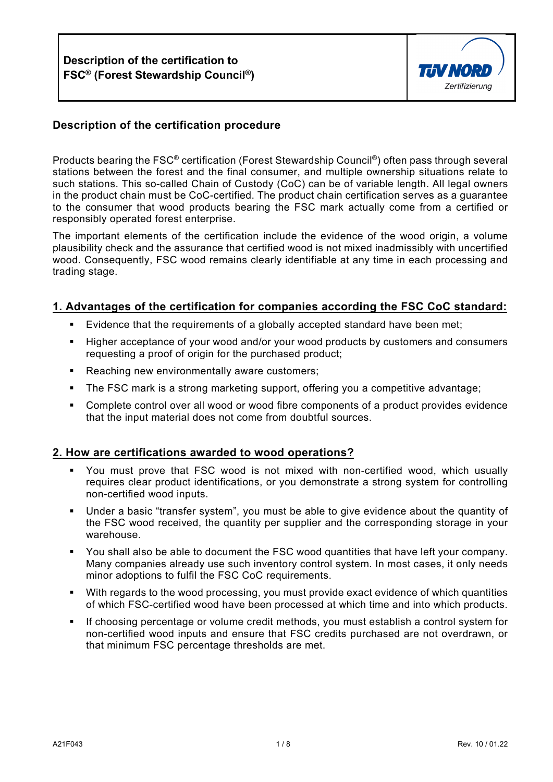

# **Description of the certification procedure**

Products bearing the FSC® certification (Forest Stewardship Council®) often pass through several stations between the forest and the final consumer, and multiple ownership situations relate to such stations. This so-called Chain of Custody (CoC) can be of variable length. All legal owners in the product chain must be CoC-certified. The product chain certification serves as a guarantee to the consumer that wood products bearing the FSC mark actually come from a certified or responsibly operated forest enterprise.

The important elements of the certification include the evidence of the wood origin, a volume plausibility check and the assurance that certified wood is not mixed inadmissibly with uncertified wood. Consequently, FSC wood remains clearly identifiable at any time in each processing and trading stage.

#### **1. Advantages of the certification for companies according the FSC CoC standard:**

- Evidence that the requirements of a globally accepted standard have been met;
- Higher acceptance of your wood and/or your wood products by customers and consumers requesting a proof of origin for the purchased product;
- **Reaching new environmentally aware customers;**
- The FSC mark is a strong marketing support, offering you a competitive advantage;
- Complete control over all wood or wood fibre components of a product provides evidence that the input material does not come from doubtful sources.

#### **2. How are certifications awarded to wood operations?**

- You must prove that FSC wood is not mixed with non-certified wood, which usually requires clear product identifications, or you demonstrate a strong system for controlling non-certified wood inputs.
- Under a basic "transfer system", you must be able to give evidence about the quantity of the FSC wood received, the quantity per supplier and the corresponding storage in your warehouse.
- You shall also be able to document the FSC wood quantities that have left your company. Many companies already use such inventory control system. In most cases, it only needs minor adoptions to fulfil the FSC CoC requirements.
- With regards to the wood processing, you must provide exact evidence of which quantities of which FSC-certified wood have been processed at which time and into which products.
- **If choosing percentage or volume credit methods, you must establish a control system for** non-certified wood inputs and ensure that FSC credits purchased are not overdrawn, or that minimum FSC percentage thresholds are met.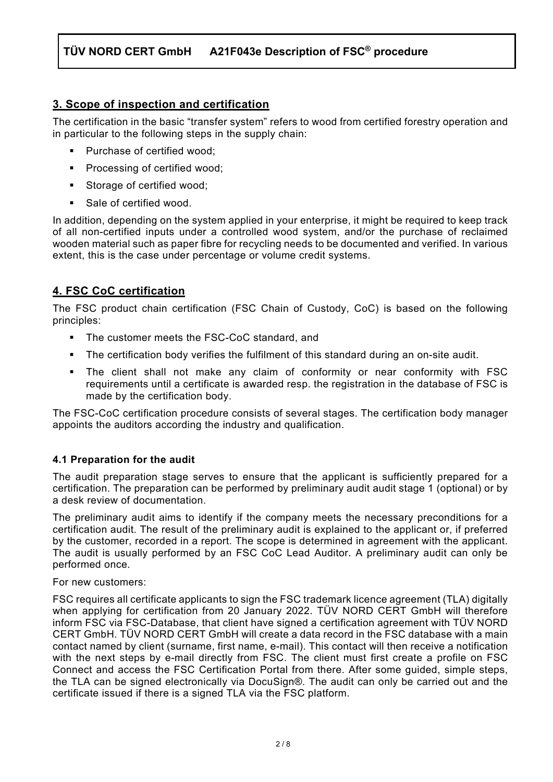# **3. Scope of inspection and certification**

The certification in the basic "transfer system" refers to wood from certified forestry operation and in particular to the following steps in the supply chain:

- Purchase of certified wood:
- **Processing of certified wood;**
- **Storage of certified wood;**
- Sale of certified wood.

In addition, depending on the system applied in your enterprise, it might be required to keep track of all non-certified inputs under a controlled wood system, and/or the purchase of reclaimed wooden material such as paper fibre for recycling needs to be documented and verified. In various extent, this is the case under percentage or volume credit systems.

# **4. FSC CoC certification**

The FSC product chain certification (FSC Chain of Custody, CoC) is based on the following principles:

- The customer meets the FSC-CoC standard, and
- The certification body verifies the fulfilment of this standard during an on-site audit.
- The client shall not make any claim of conformity or near conformity with FSC requirements until a certificate is awarded resp. the registration in the database of FSC is made by the certification body.

The FSC-CoC certification procedure consists of several stages. The certification body manager appoints the auditors according the industry and qualification.

# **4.1 Preparation for the audit**

The audit preparation stage serves to ensure that the applicant is sufficiently prepared for a certification. The preparation can be performed by preliminary audit audit stage 1 (optional) or by a desk review of documentation.

The preliminary audit aims to identify if the company meets the necessary preconditions for a certification audit. The result of the preliminary audit is explained to the applicant or, if preferred by the customer, recorded in a report. The scope is determined in agreement with the applicant. The audit is usually performed by an FSC CoC Lead Auditor. A preliminary audit can only be performed once.

For new customers:

FSC requires all certificate applicants to sign the FSC trademark licence agreement (TLA) digitally when applying for certification from 20 January 2022. TÜV NORD CERT GmbH will therefore inform FSC via FSC-Database, that client have signed a certification agreement with TÜV NORD CERT GmbH. TÜV NORD CERT GmbH will create a data record in the FSC database with a main contact named by client (surname, first name, e-mail). This contact will then receive a notification with the next steps by e-mail directly from FSC. The client must first create a profile on FSC Connect and access the FSC Certification Portal from there. After some guided, simple steps, the TLA can be signed electronically via DocuSign®. The audit can only be carried out and the certificate issued if there is a signed TLA via the FSC platform.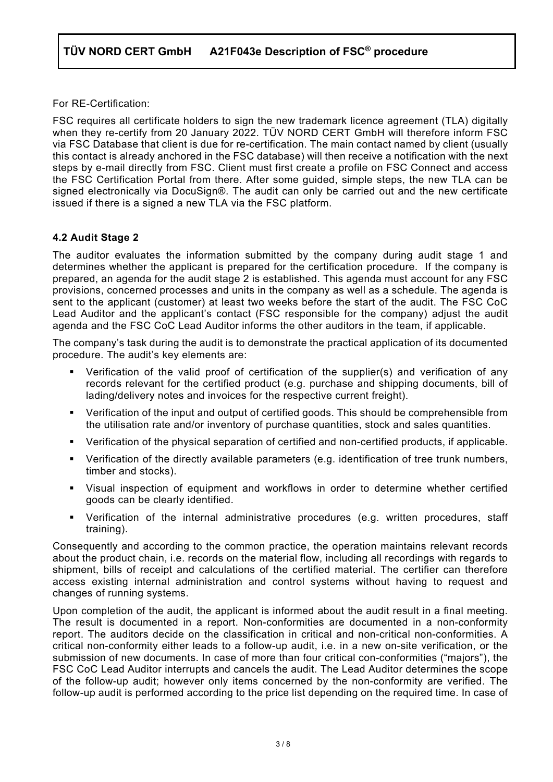For RE-Certification:

FSC requires all certificate holders to sign the new trademark licence agreement (TLA) digitally when they re-certify from 20 January 2022. TÜV NORD CERT GmbH will therefore inform FSC via FSC Database that client is due for re-certification. The main contact named by client (usually this contact is already anchored in the FSC database) will then receive a notification with the next steps by e-mail directly from FSC. Client must first create a profile on FSC Connect and access the FSC Certification Portal from there. After some guided, simple steps, the new TLA can be signed electronically via DocuSign®. The audit can only be carried out and the new certificate issued if there is a signed a new TLA via the FSC platform.

## **4.2 Audit Stage 2**

The auditor evaluates the information submitted by the company during audit stage 1 and determines whether the applicant is prepared for the certification procedure. If the company is prepared, an agenda for the audit stage 2 is established. This agenda must account for any FSC provisions, concerned processes and units in the company as well as a schedule. The agenda is sent to the applicant (customer) at least two weeks before the start of the audit. The FSC CoC Lead Auditor and the applicant's contact (FSC responsible for the company) adjust the audit agenda and the FSC CoC Lead Auditor informs the other auditors in the team, if applicable.

The company's task during the audit is to demonstrate the practical application of its documented procedure. The audit's key elements are:

- Verification of the valid proof of certification of the supplier(s) and verification of any records relevant for the certified product (e.g. purchase and shipping documents, bill of lading/delivery notes and invoices for the respective current freight).
- Verification of the input and output of certified goods. This should be comprehensible from the utilisation rate and/or inventory of purchase quantities, stock and sales quantities.
- Verification of the physical separation of certified and non-certified products, if applicable.
- Verification of the directly available parameters (e.g. identification of tree trunk numbers, timber and stocks).
- Visual inspection of equipment and workflows in order to determine whether certified goods can be clearly identified.
- Verification of the internal administrative procedures (e.g. written procedures, staff training).

Consequently and according to the common practice, the operation maintains relevant records about the product chain, i.e. records on the material flow, including all recordings with regards to shipment, bills of receipt and calculations of the certified material. The certifier can therefore access existing internal administration and control systems without having to request and changes of running systems.

Upon completion of the audit, the applicant is informed about the audit result in a final meeting. The result is documented in a report. Non-conformities are documented in a non-conformity report. The auditors decide on the classification in critical and non-critical non-conformities. A critical non-conformity either leads to a follow-up audit, i.e. in a new on-site verification, or the submission of new documents. In case of more than four critical con-conformities ("majors"), the FSC CoC Lead Auditor interrupts and cancels the audit. The Lead Auditor determines the scope of the follow-up audit; however only items concerned by the non-conformity are verified. The follow-up audit is performed according to the price list depending on the required time. In case of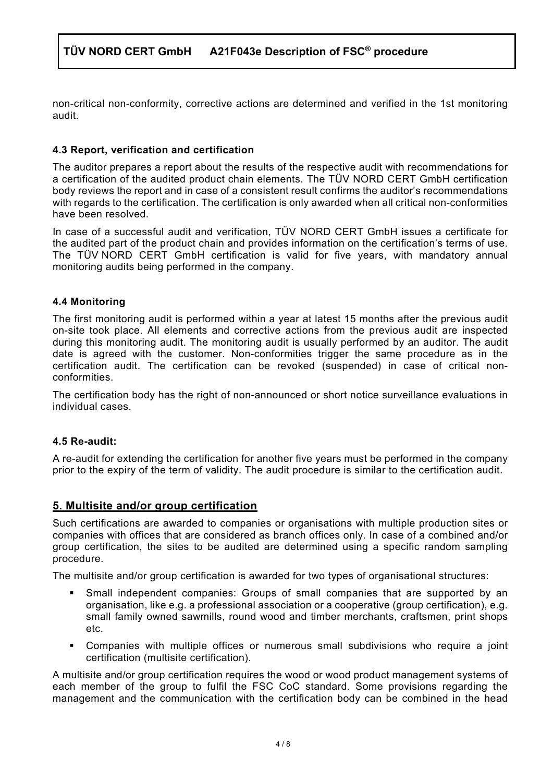non-critical non-conformity, corrective actions are determined and verified in the 1st monitoring audit.

### **4.3 Report, verification and certification**

The auditor prepares a report about the results of the respective audit with recommendations for a certification of the audited product chain elements. The TÜV NORD CERT GmbH certification body reviews the report and in case of a consistent result confirms the auditor's recommendations with regards to the certification. The certification is only awarded when all critical non-conformities have been resolved.

In case of a successful audit and verification, TÜV NORD CERT GmbH issues a certificate for the audited part of the product chain and provides information on the certification's terms of use. The TÜV NORD CERT GmbH certification is valid for five years, with mandatory annual monitoring audits being performed in the company.

#### **4.4 Monitoring**

The first monitoring audit is performed within a year at latest 15 months after the previous audit on-site took place. All elements and corrective actions from the previous audit are inspected during this monitoring audit. The monitoring audit is usually performed by an auditor. The audit date is agreed with the customer. Non-conformities trigger the same procedure as in the certification audit. The certification can be revoked (suspended) in case of critical nonconformities.

The certification body has the right of non-announced or short notice surveillance evaluations in individual cases.

#### **4.5 Re-audit:**

A re-audit for extending the certification for another five years must be performed in the company prior to the expiry of the term of validity. The audit procedure is similar to the certification audit.

### **5. Multisite and/or group certification**

Such certifications are awarded to companies or organisations with multiple production sites or companies with offices that are considered as branch offices only. In case of a combined and/or group certification, the sites to be audited are determined using a specific random sampling procedure.

The multisite and/or group certification is awarded for two types of organisational structures:

- Small independent companies: Groups of small companies that are supported by an organisation, like e.g. a professional association or a cooperative (group certification), e.g. small family owned sawmills, round wood and timber merchants, craftsmen, print shops etc.
- Companies with multiple offices or numerous small subdivisions who require a joint certification (multisite certification).

A multisite and/or group certification requires the wood or wood product management systems of each member of the group to fulfil the FSC CoC standard. Some provisions regarding the management and the communication with the certification body can be combined in the head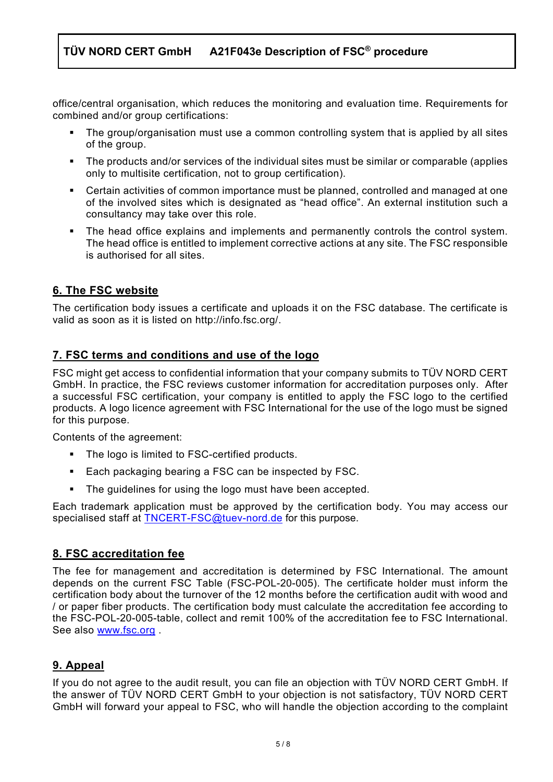office/central organisation, which reduces the monitoring and evaluation time. Requirements for combined and/or group certifications:

- The group/organisation must use a common controlling system that is applied by all sites of the group.
- The products and/or services of the individual sites must be similar or comparable (applies only to multisite certification, not to group certification).
- Certain activities of common importance must be planned, controlled and managed at one of the involved sites which is designated as "head office". An external institution such a consultancy may take over this role.
- The head office explains and implements and permanently controls the control system. The head office is entitled to implement corrective actions at any site. The FSC responsible is authorised for all sites.

# **6. The FSC website**

The certification body issues a certificate and uploads it on the FSC database. The certificate is valid as soon as it is listed on http://info.fsc.org/.

## **7. FSC terms and conditions and use of the logo**

FSC might get access to confidential information that your company submits to TÜV NORD CERT GmbH. In practice, the FSC reviews customer information for accreditation purposes only. After a successful FSC certification, your company is entitled to apply the FSC logo to the certified products. A logo licence agreement with FSC International for the use of the logo must be signed for this purpose.

Contents of the agreement:

- The logo is limited to FSC-certified products.
- Each packaging bearing a FSC can be inspected by FSC.
- **The guidelines for using the logo must have been accepted.**

Each trademark application must be approved by the certification body. You may access our specialised staff at [TNCERT-FSC@tuev-nord.de](mailto:TNCERT-FSC@tuev-nord.de) for this purpose.

### **8. FSC accreditation fee**

The fee for management and accreditation is determined by FSC International. The amount depends on the current FSC Table (FSC-POL-20-005). The certificate holder must inform the certification body about the turnover of the 12 months before the certification audit with wood and / or paper fiber products. The certification body must calculate the accreditation fee according to the FSC-POL-20-005-table, collect and remit 100% of the accreditation fee to FSC International. See also [www.fsc.org](http://www.fsc.org/) .

# **9. Appeal**

If you do not agree to the audit result, you can file an objection with TÜV NORD CERT GmbH. If the answer of TÜV NORD CERT GmbH to your objection is not satisfactory, TÜV NORD CERT GmbH will forward your appeal to FSC, who will handle the objection according to the complaint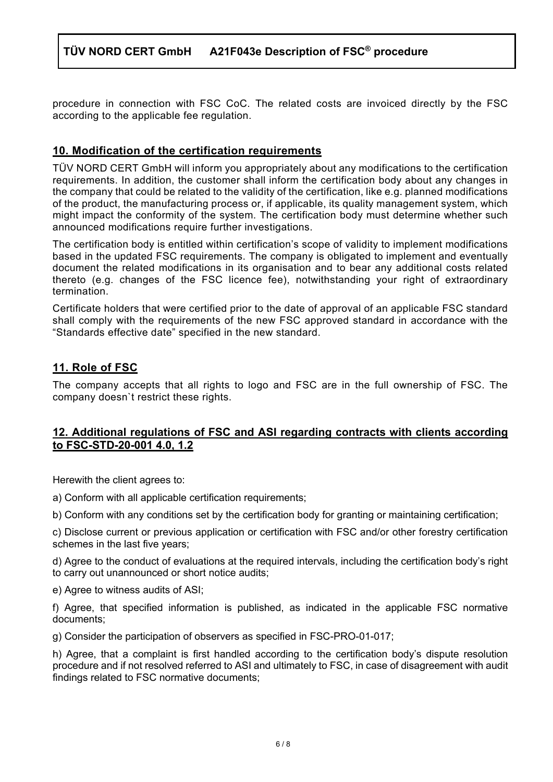procedure in connection with FSC CoC. The related costs are invoiced directly by the FSC according to the applicable fee regulation.

# **10. Modification of the certification requirements**

TÜV NORD CERT GmbH will inform you appropriately about any modifications to the certification requirements. In addition, the customer shall inform the certification body about any changes in the company that could be related to the validity of the certification, like e.g. planned modifications of the product, the manufacturing process or, if applicable, its quality management system, which might impact the conformity of the system. The certification body must determine whether such announced modifications require further investigations.

The certification body is entitled within certification's scope of validity to implement modifications based in the updated FSC requirements. The company is obligated to implement and eventually document the related modifications in its organisation and to bear any additional costs related thereto (e.g. changes of the FSC licence fee), notwithstanding your right of extraordinary termination.

Certificate holders that were certified prior to the date of approval of an applicable FSC standard shall comply with the requirements of the new FSC approved standard in accordance with the "Standards effective date" specified in the new standard.

## **11. Role of FSC**

The company accepts that all rights to logo and FSC are in the full ownership of FSC. The company doesn`t restrict these rights.

#### **12. Additional regulations of FSC and ASI regarding contracts with clients according to FSC-STD-20-001 4.0, 1.2**

Herewith the client agrees to:

a) Conform with all applicable certification requirements;

b) Conform with any conditions set by the certification body for granting or maintaining certification;

c) Disclose current or previous application or certification with FSC and/or other forestry certification schemes in the last five years;

d) Agree to the conduct of evaluations at the required intervals, including the certification body's right to carry out unannounced or short notice audits;

e) Agree to witness audits of ASI;

f) Agree, that specified information is published, as indicated in the applicable FSC normative documents;

g) Consider the participation of observers as specified in FSC-PRO-01-017;

h) Agree, that a complaint is first handled according to the certification body's dispute resolution procedure and if not resolved referred to ASI and ultimately to FSC, in case of disagreement with audit findings related to FSC normative documents;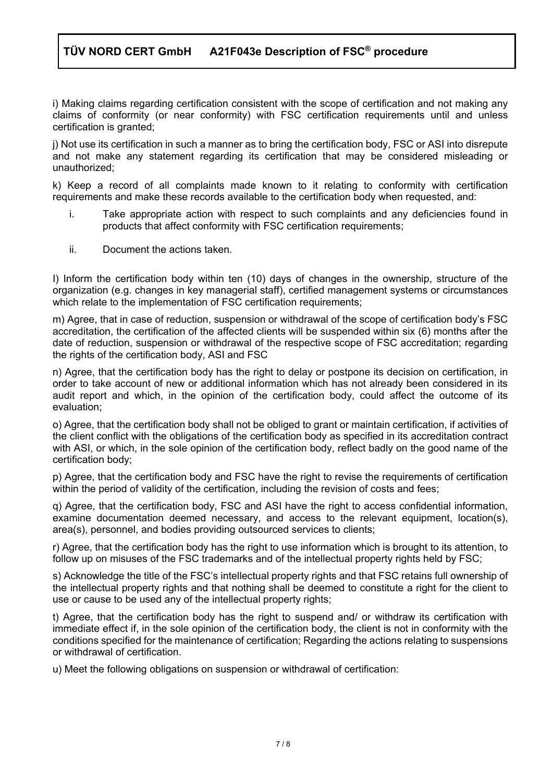i) Making claims regarding certification consistent with the scope of certification and not making any claims of conformity (or near conformity) with FSC certification requirements until and unless certification is granted;

j) Not use its certification in such a manner as to bring the certification body, FSC or ASI into disrepute and not make any statement regarding its certification that may be considered misleading or unauthorized;

k) Keep a record of all complaints made known to it relating to conformity with certification requirements and make these records available to the certification body when requested, and:

- i. Take appropriate action with respect to such complaints and any deficiencies found in products that affect conformity with FSC certification requirements;
- ii. Document the actions taken.

I) Inform the certification body within ten (10) days of changes in the ownership, structure of the organization (e.g. changes in key managerial staff), certified management systems or circumstances which relate to the implementation of FSC certification requirements;

m) Agree, that in case of reduction, suspension or withdrawal of the scope of certification body's FSC accreditation, the certification of the affected clients will be suspended within six (6) months after the date of reduction, suspension or withdrawal of the respective scope of FSC accreditation; regarding the rights of the certification body, ASI and FSC

n) Agree, that the certification body has the right to delay or postpone its decision on certification, in order to take account of new or additional information which has not already been considered in its audit report and which, in the opinion of the certification body, could affect the outcome of its evaluation;

o) Agree, that the certification body shall not be obliged to grant or maintain certification, if activities of the client conflict with the obligations of the certification body as specified in its accreditation contract with ASI, or which, in the sole opinion of the certification body, reflect badly on the good name of the certification body;

p) Agree, that the certification body and FSC have the right to revise the requirements of certification within the period of validity of the certification, including the revision of costs and fees;

q) Agree, that the certification body, FSC and ASI have the right to access confidential information, examine documentation deemed necessary, and access to the relevant equipment, location(s), area(s), personnel, and bodies providing outsourced services to clients;

r) Agree, that the certification body has the right to use information which is brought to its attention, to follow up on misuses of the FSC trademarks and of the intellectual property rights held by FSC;

s) Acknowledge the title of the FSC's intellectual property rights and that FSC retains full ownership of the intellectual property rights and that nothing shall be deemed to constitute a right for the client to use or cause to be used any of the intellectual property rights;

t) Agree, that the certification body has the right to suspend and/ or withdraw its certification with immediate effect if, in the sole opinion of the certification body, the client is not in conformity with the conditions specified for the maintenance of certification; Regarding the actions relating to suspensions or withdrawal of certification.

u) Meet the following obligations on suspension or withdrawal of certification: